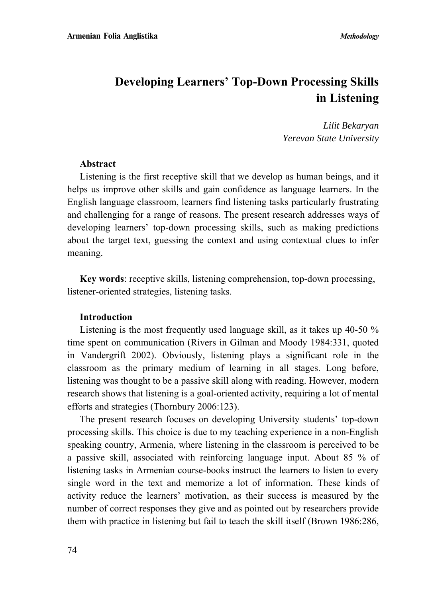# **Developing Learners' Top-Down Processing Skills in Listening**

*Lilit Bekaryan Yerevan State University* 

#### **Abstract**

Listening is the first receptive skill that we develop as human beings, and it helps us improve other skills and gain confidence as language learners. In the English language classroom, learners find listening tasks particularly frustrating and challenging for a range of reasons. The present research addresses ways of developing learners' top-down processing skills, such as making predictions about the target text, guessing the context and using contextual clues to infer meaning.

**Key words**: receptive skills, listening comprehension, top-down processing, listener-oriented strategies, listening tasks.

#### **Introduction**

Listening is the most frequently used language skill, as it takes up 40-50 % time spent on communication (Rivers in Gilman and Moody 1984:331, quoted in Vandergrift 2002). Obviously, listening plays a significant role in the classroom as the primary medium of learning in all stages. Long before, listening was thought to be a passive skill along with reading. However, modern research shows that listening is a goal-oriented activity, requiring a lot of mental efforts and strategies (Thornbury 2006:123).

The present research focuses on developing University students' top-down processing skills. This choice is due to my teaching experience in a non-English speaking country, Armenia, where listening in the classroom is perceived to be a passive skill, associated with reinforcing language input. About 85 % of listening tasks in Armenian course-books instruct the learners to listen to every single word in the text and memorize a lot of information. These kinds of activity reduce the learners' motivation, as their success is measured by the number of correct responses they give and as pointed out by researchers provide them with practice in listening but fail to teach the skill itself (Brown 1986:286,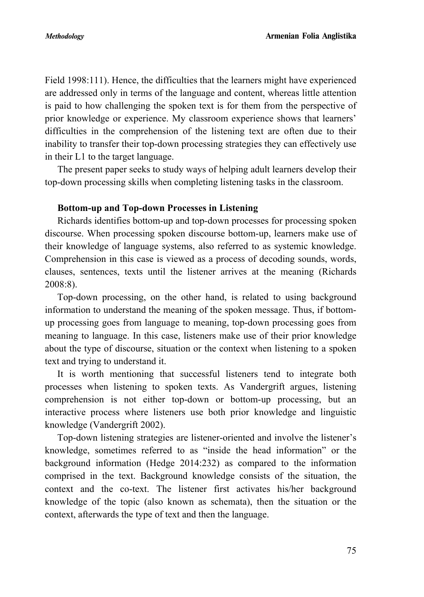Field 1998:111). Hence, the difficulties that the learners might have experienced are addressed only in terms of the language and content, whereas little attention is paid to how challenging the spoken text is for them from the perspective of prior knowledge or experience. My classroom experience shows that learners' difficulties in the comprehension of the listening text are often due to their inability to transfer their top-down processing strategies they can effectively use in their L1 to the target language.

The present paper seeks to study ways of helping adult learners develop their top-down processing skills when completing listening tasks in the classroom.

#### **Bottom-up and Top-down Processes in Listening**

Richards identifies bottom-up and top-down processes for processing spoken discourse. When processing spoken discourse bottom-up, learners make use of their knowledge of language systems, also referred to as systemic knowledge. Comprehension in this case is viewed as a process of decoding sounds, words, clauses, sentences, texts until the listener arrives at the meaning (Richards 2008:8).

Top-down processing, on the other hand, is related to using background information to understand the meaning of the spoken message. Thus, if bottomup processing goes from language to meaning, top-down processing goes from meaning to language. In this case, listeners make use of their prior knowledge about the type of discourse, situation or the context when listening to a spoken text and trying to understand it.

It is worth mentioning that successful listeners tend to integrate both processes when listening to spoken texts. As Vandergrift argues, listening comprehension is not either top-down or bottom-up processing, but an interactive process where listeners use both prior knowledge and linguistic knowledge (Vandergrift 2002).

Top-down listening strategies are listener-oriented and involve the listener's knowledge, sometimes referred to as "inside the head information" or the background information (Hedge 2014:232) as compared to the information comprised in the text. Background knowledge consists of the situation, the context and the co-text. The listener first activates his/her background knowledge of the topic (also known as schemata), then the situation or the context, afterwards the type of text and then the language.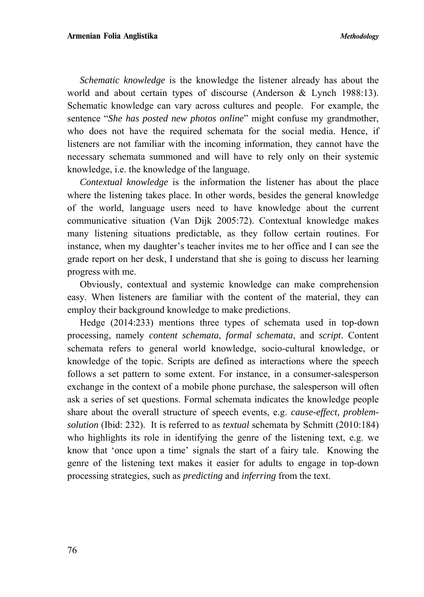*Schematic knowledge* is the knowledge the listener already has about the world and about certain types of discourse (Anderson & Lynch 1988:13). Schematic knowledge can vary across cultures and people. For example, the sentence "*She has posted new photos online*" might confuse my grandmother, who does not have the required schemata for the social media. Hence, if listeners are not familiar with the incoming information, they cannot have the necessary schemata summoned and will have to rely only on their systemic knowledge, i.e. the knowledge of the language.

*Contextual knowledge* is the information the listener has about the place where the listening takes place. In other words, besides the general knowledge of the world, language users need to have knowledge about the current communicative situation (Van Dijk 2005:72). Contextual knowledge makes many listening situations predictable, as they follow certain routines. For instance, when my daughter's teacher invites me to her office and I can see the grade report on her desk, I understand that she is going to discuss her learning progress with me.

Obviously, contextual and systemic knowledge can make comprehension easy. When listeners are familiar with the content of the material, they can employ their background knowledge to make predictions.

Hedge (2014:233) mentions three types of schemata used in top-down processing, namely *content schemata*, *formal schemata*, and *script*. Content schemata refers to general world knowledge, socio-cultural knowledge, or knowledge of the topic. Scripts are defined as interactions where the speech follows a set pattern to some extent. For instance, in a consumer-salesperson exchange in the context of a mobile phone purchase, the salesperson will often ask a series of set questions. Formal schemata indicates the knowledge people share about the overall structure of speech events, e.g. *cause-effect, problemsolution* (Ibid: 232). It is referred to as *textual* schemata by Schmitt (2010:184) who highlights its role in identifying the genre of the listening text, e.g. we know that 'once upon a time' signals the start of a fairy tale. Knowing the genre of the listening text makes it easier for adults to engage in top-down processing strategies, such as *predicting* and *inferring* from the text.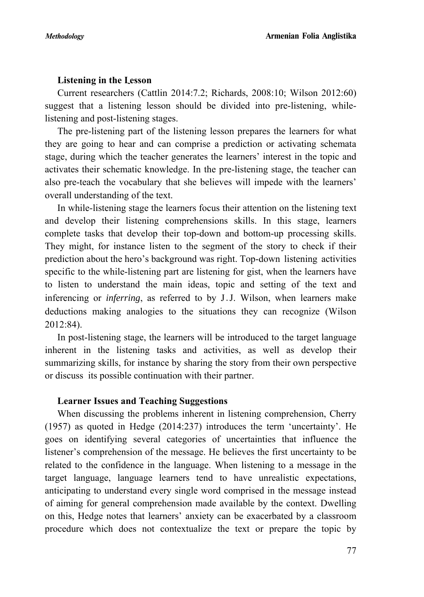## **Listening in the Լesson**

Current researchers (Cattlin 2014:7.2; Richards, 2008:10; Wilson 2012:60) suggest that a listening lesson should be divided into pre-listening, whilelistening and post-listening stages.

The pre-listening part of the listening lesson prepares the learners for what they are going to hear and can comprise a prediction or activating schemata stage, during which the teacher generates the learners' interest in the topic and activates their schematic knowledge. In the pre-listening stage, the teacher can also pre-teach the vocabulary that she believes will impede with the learners' overall understanding of the text.

In while-listening stage the learners focus their attention on the listening text and develop their listening comprehensions skills. In this stage, learners complete tasks that develop their top-down and bottom-up processing skills. They might, for instance listen to the segment of the story to check if their prediction about the hero's background was right. Top-down listening activities specific to the while-listening part are listening for gist, when the learners have to listen to understand the main ideas, topic and setting of the text and inferencing or *inferring*, as referred to by J․J. Wilson, when learners make deductions making analogies to the situations they can recognize (Wilson 2012:84).

In post-listening stage, the learners will be introduced to the target language inherent in the listening tasks and activities, as well as develop their summarizing skills, for instance by sharing the story from their own perspective or discuss its possible continuation with their partner.

## **Learner Issues and Teaching Suggestions**

When discussing the problems inherent in listening comprehension, Cherry (1957) as quoted in Hedge (2014:237) introduces the term 'uncertainty'. He goes on identifying several categories of uncertainties that influence the listener's comprehension of the message. He believes the first uncertainty to be related to the confidence in the language. When listening to a message in the target language, language learners tend to have unrealistic expectations, anticipating to understand every single word comprised in the message instead of aiming for general comprehension made available by the context. Dwelling on this, Hedge notes that learners' anxiety can be exacerbated by a classroom procedure which does not contextualize the text or prepare the topic by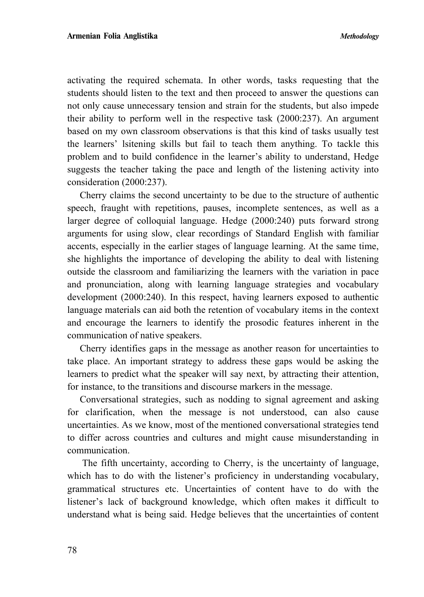activating the required schemata. In other words, tasks requesting that the students should listen to the text and then proceed to answer the questions can not only cause unnecessary tension and strain for the students, but also impede their ability to perform well in the respective task (2000:237). An argument based on my own classroom observations is that this kind of tasks usually test the learners' lsitening skills but fail to teach them anything. To tackle this problem and to build confidence in the learner's ability to understand, Hedge suggests the teacher taking the pace and length of the listening activity into consideration (2000:237).

Cherry claims the second uncertainty to be due to the structure of authentic speech, fraught with repetitions, pauses, incomplete sentences, as well as a larger degree of colloquial language. Hedge (2000:240) puts forward strong arguments for using slow, clear recordings of Standard English with familiar accents, especially in the earlier stages of language learning. At the same time, she highlights the importance of developing the ability to deal with listening outside the classroom and familiarizing the learners with the variation in pace and pronunciation, along with learning language strategies and vocabulary development (2000:240). In this respect, having learners exposed to authentic language materials can aid both the retention of vocabulary items in the context and encourage the learners to identify the prosodic features inherent in the communication of native speakers.

Cherry identifies gaps in the message as another reason for uncertainties to take place. An important strategy to address these gaps would be asking the learners to predict what the speaker will say next, by attracting their attention, for instance, to the transitions and discourse markers in the message.

Conversational strategies, such as nodding to signal agreement and asking for clarification, when the message is not understood, can also cause uncertainties. As we know, most of the mentioned conversational strategies tend to differ across countries and cultures and might cause misunderstanding in communication.

 The fifth uncertainty, according to Cherry, is the uncertainty of language, which has to do with the listener's proficiency in understanding vocabulary, grammatical structures etc. Uncertainties of content have to do with the listener's lack of background knowledge, which often makes it difficult to understand what is being said. Hedge believes that the uncertainties of content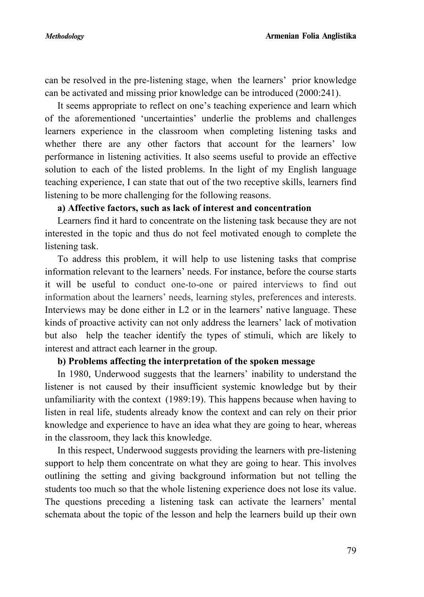can be resolved in the pre-listening stage, when the learners' prior knowledge can be activated and missing prior knowledge can be introduced (2000:241).

It seems appropriate to reflect on one's teaching experience and learn which of the aforementioned 'uncertainties' underlie the problems and challenges learners experience in the classroom when completing listening tasks and whether there are any other factors that account for the learners' low performance in listening activities. It also seems useful to provide an effective solution to each of the listed problems. In the light of my English language teaching experience, I can state that out of the two receptive skills, learners find listening to be more challenging for the following reasons.

## **a) Affective factors, such as lack of interest and concentration**

Learners find it hard to concentrate on the listening task because they are not interested in the topic and thus do not feel motivated enough to complete the listening task.

To address this problem, it will help to use listening tasks that comprise information relevant to the learners' needs. For instance, before the course starts it will be useful to conduct one-to-one or paired interviews to find out information about the learners' needs, learning styles, preferences and interests. Interviews may be done either in L2 or in the learners' native language. These kinds of proactive activity can not only address the learners' lack of motivation but also help the teacher identify the types of stimuli, which are likely to interest and attract each learner in the group.

#### **b) Problems affecting the interpretation of the spoken message**

In 1980, Underwood suggests that the learners' inability to understand the listener is not caused by their insufficient systemic knowledge but by their unfamiliarity with the context (1989:19). This happens because when having to listen in real life, students already know the context and can rely on their prior knowledge and experience to have an idea what they are going to hear, whereas in the classroom, they lack this knowledge.

In this respect, Underwood suggests providing the learners with pre-listening support to help them concentrate on what they are going to hear. This involves outlining the setting and giving background information but not telling the students too much so that the whole listening experience does not lose its value. The questions preceding a listening task can activate the learners' mental schemata about the topic of the lesson and help the learners build up their own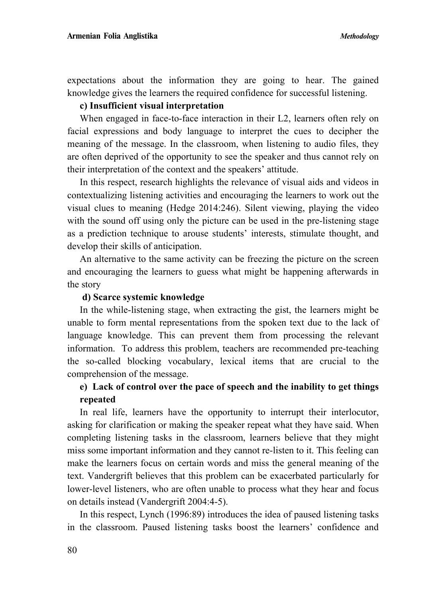expectations about the information they are going to hear. The gained knowledge gives the learners the required confidence for successful listening.

#### **c) Insufficient visual interpretation**

When engaged in face-to-face interaction in their L2, learners often rely on facial expressions and body language to interpret the cues to decipher the meaning of the message. In the classroom, when listening to audio files, they are often deprived of the opportunity to see the speaker and thus cannot rely on their interpretation of the context and the speakers' attitude.

In this respect, research highlights the relevance of visual aids and videos in contextualizing listening activities and encouraging the learners to work out the visual clues to meaning (Hedge 2014:246). Silent viewing, playing the video with the sound off using only the picture can be used in the pre-listening stage as a prediction technique to arouse students' interests, stimulate thought, and develop their skills of anticipation.

An alternative to the same activity can be freezing the picture on the screen and encouraging the learners to guess what might be happening afterwards in the story

#### **d) Scarce systemic knowledge**

In the while-listening stage, when extracting the gist, the learners might be unable to form mental representations from the spoken text due to the lack of language knowledge. This can prevent them from processing the relevant information. To address this problem, teachers are recommended pre-teaching the so-called blocking vocabulary, lexical items that are crucial to the comprehension of the message.

## **e) Lack of control over the pace of speech and the inability to get things repeated**

In real life, learners have the opportunity to interrupt their interlocutor, asking for clarification or making the speaker repeat what they have said. When completing listening tasks in the classroom, learners believe that they might miss some important information and they cannot re-listen to it. This feeling can make the learners focus on certain words and miss the general meaning of the text. Vandergrift believes that this problem can be exacerbated particularly for lower-level listeners, who are often unable to process what they hear and focus on details instead (Vandergrift 2004:4-5).

In this respect, Lynch (1996:89) introduces the idea of paused listening tasks in the classroom. Paused listening tasks boost the learners' confidence and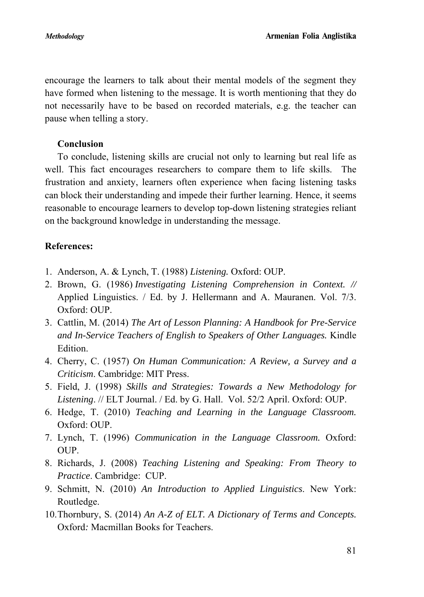encourage the learners to talk about their mental models of the segment they have formed when listening to the message. It is worth mentioning that they do not necessarily have to be based on recorded materials, e.g. the teacher can pause when telling a story.

## **Conclusion**

To conclude, listening skills are crucial not only to learning but real life as well. This fact encourages researchers to compare them to life skills. The frustration and anxiety, learners often experience when facing listening tasks can block their understanding and impede their further learning. Hence, it seems reasonable to encourage learners to develop top-down listening strategies reliant on the background knowledge in understanding the message.

## **References:**

- 1. Anderson, A. & Lynch, T. (1988) *Listening.* Oxford: OUP.
- 2. Brown, G. (1986) *Investigating Listening Comprehension in Context. //*  Applied Linguistics. / Ed. by J. Hellermann and A. Mauranen. Vol. 7/3. Oxford: OUP.
- 3. Cattlin, M. (2014) *The Art of Lesson Planning: A Handbook for Pre-Service and In-Service Teachers of English to Speakers of Other Languages.* Kindle Edition.
- 4. Cherry, C. (1957) *On Human Communication: A Review, a Survey and a Criticism*. Cambridge: MIT Press.
- 5. Field, J. (1998) *Skills and Strategies: Towards a New Methodology for Listening*. // ELT Journal. / Ed. by G. Hall. Vol. 52/2 April. Oxford: OUP.
- 6. Hedge, T. (2010) *Teaching and Learning in the Language Classroom.*  Oxford: OUP.
- 7. Lynch, T. (1996) *Communication in the Language Classroom.* Oxford: OUP.
- 8. Richards, J. (2008) *Teaching Listening and Speaking: From Theory to Practice*. Cambridge: CUP.
- 9. Schmitt, N. (2010) *An Introduction to Applied Linguistics*. New York: Routledge.
- 10.Thornbury, S. (2014) *An A-Z of ELT. A Dictionary of Terms and Concepts.*  Oxford*:* Macmillan Books for Teachers.